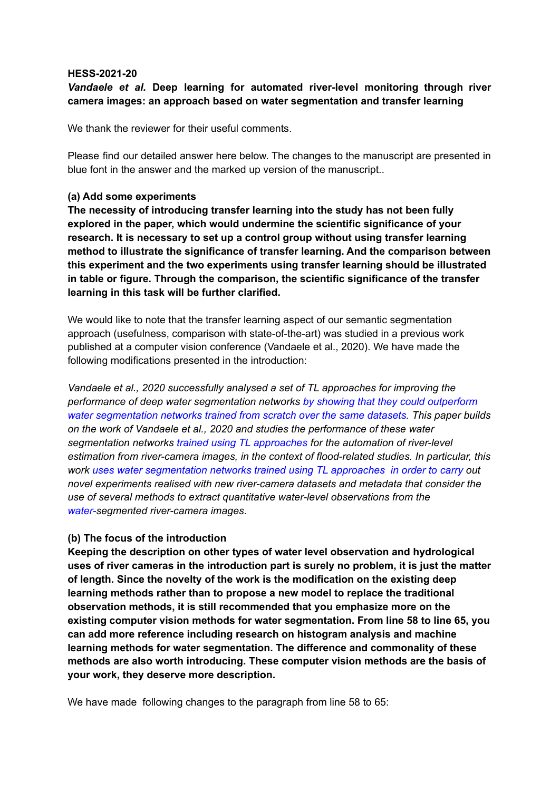## **HESS-2021-20**

# *Vandaele et al.* **Deep learning for automated river-level monitoring through river camera images: an approach based on water segmentation and transfer learning**

We thank the reviewer for their useful comments.

Please find our detailed answer here below. The changes to the manuscript are presented in blue font in the answer and the marked up version of the manuscript..

# **(a) Add some experiments**

**The necessity of introducing transfer learning into the study has not been fully explored in the paper, which would undermine the scientific significance of your research. It is necessary to set up a control group without using transfer learning method to illustrate the significance of transfer learning. And the comparison between this experiment and the two experiments using transfer learning should be illustrated in table or figure. Through the comparison, the scientific significance of the transfer learning in this task will be further clarified.**

We would like to note that the transfer learning aspect of our semantic segmentation approach (usefulness, comparison with state-of-the-art) was studied in a previous work published at a computer vision conference (Vandaele et al., 2020). We have made the following modifications presented in the introduction:

*Vandaele et al., 2020 successfully analysed a set of TL approaches for improving the performance of deep water segmentation networks by showing that they could outperform water segmentation networks trained from scratch over the same datasets. This paper builds on the work of Vandaele et al., 2020 and studies the performance of these water segmentation networks trained using TL approaches for the automation of river-level estimation from river-camera images, in the context of flood-related studies. In particular, this work uses water segmentation networks trained using TL approaches in order to carry out novel experiments realised with new river-camera datasets and metadata that consider the use of several methods to extract quantitative water-level observations from the water-segmented river-camera images.*

# **(b) The focus of the introduction**

**Keeping the description on other types of water level observation and hydrological uses of river cameras in the introduction part is surely no problem, it is just the matter of length. Since the novelty of the work is the modification on the existing deep learning methods rather than to propose a new model to replace the traditional observation methods, it is still recommended that you emphasize more on the existing computer vision methods for water segmentation. From line 58 to line 65, you can add more reference including research on histogram analysis and machine learning methods for water segmentation. The difference and commonality of these methods are also worth introducing. These computer vision methods are the basis of your work, they deserve more description.**

We have made following changes to the paragraph from line 58 to 65: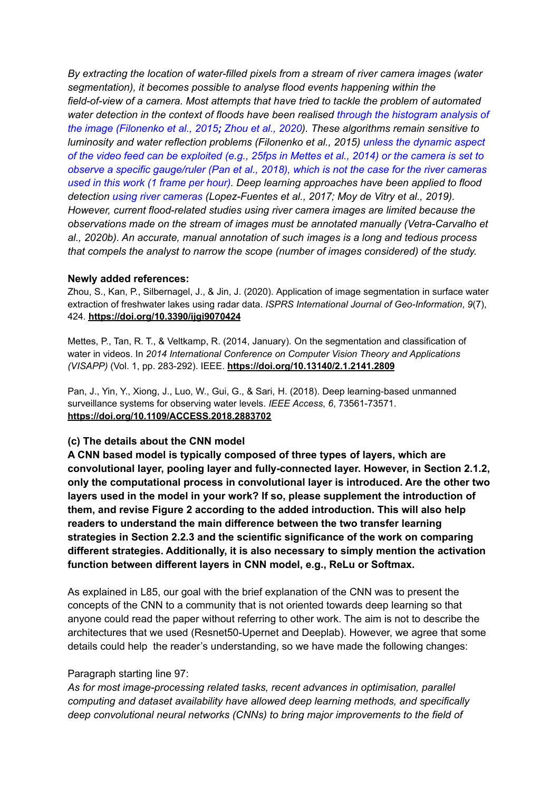*By extracting the location of water-filled pixels from a stream of river camera images (water segmentation), it becomes possible to analyse flood events happening within the field-of-view of a camera. Most attempts that have tried to tackle the problem of automated water detection in the context of floods have been realised through the histogram analysis of the image (Filonenko et al., 2015; Zhou et al., 2020). These algorithms remain sensitive to luminosity and water reflection problems (Filonenko et al., 2015) unless the dynamic aspect* of the video feed can be exploited (e.g., 25fps in Mettes et al., 2014) or the camera is set to *observe a specific gauge/ruler (Pan et al., 2018), which is not the case for the river cameras used in this work (1 frame per hour). Deep learning approaches have been applied to flood detection using river cameras (Lopez-Fuentes et al., 2017; Moy de Vitry et al., 2019). However, current flood-related studies using river camera images are limited because the observations made on the stream of images must be annotated manually (Vetra-Carvalho et al., 2020b). An accurate, manual annotation of such images is a long and tedious process that compels the analyst to narrow the scope (number of images considered) of the study.*

## **Newly added references:**

Zhou, S., Kan, P., Silbernagel, J., & Jin, J. (2020). Application of image segmentation in surface water extraction of freshwater lakes using radar data. *ISPRS International Journal of Geo-Information*, *9*(7), 424. **<https://doi.org/10.3390/ijgi9070424>**

Mettes, P., Tan, R. T., & Veltkamp, R. (2014, January). On the segmentation and classification of water in videos. In *2014 International Conference on Computer Vision Theory and Applications (VISAPP)* (Vol. 1, pp. 283-292). IEEE. **<https://doi.org/10.13140/2.1.2141.2809>**

Pan, J., Yin, Y., Xiong, J., Luo, W., Gui, G., & Sari, H. (2018). Deep learning-based unmanned surveillance systems for observing water levels. *IEEE Access*, *6*, 73561-73571. **https://doi.org/10.1109/ACCESS.2018.2883702**

# **(c) The details about the CNN model**

**A CNN based model is typically composed of three types of layers, which are convolutional layer, pooling layer and fully-connected layer. However, in Section 2.1.2, only the computational process in convolutional layer is introduced. Are the other two layers used in the model in your work? If so, please supplement the introduction of them, and revise Figure 2 according to the added introduction. This will also help readers to understand the main difference between the two transfer learning strategies in Section 2.2.3 and the scientific significance of the work on comparing different strategies. Additionally, it is also necessary to simply mention the activation function between different layers in CNN model, e.g., ReLu or Softmax.**

As explained in L85, our goal with the brief explanation of the CNN was to present the concepts of the CNN to a community that is not oriented towards deep learning so that anyone could read the paper without referring to other work. The aim is not to describe the architectures that we used (Resnet50-Upernet and Deeplab). However, we agree that some details could help the reader's understanding, so we have made the following changes:

## Paragraph starting line 97:

*As for most image-processing related tasks, recent advances in optimisation, parallel computing and dataset availability have allowed deep learning methods, and specifically deep convolutional neural networks (CNNs) to bring major improvements to the field of*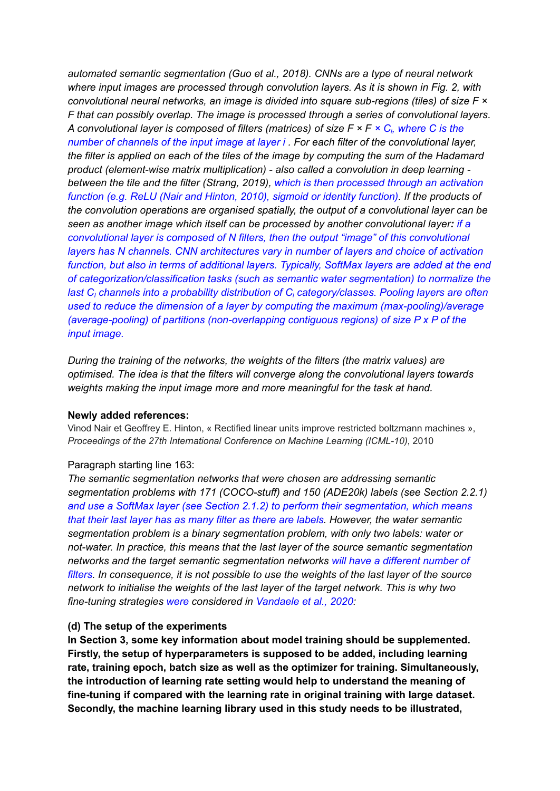*automated semantic segmentation (Guo et al., 2018). CNNs are a type of neural network where input images are processed through convolution layers. As it is shown in Fig. 2, with convolutional neural networks, an image is divided into square sub-regions (tiles) of size F × F that can possibly overlap. The image is processed through a series of convolutional layers.* A convolutional layer is composed of filters (matrices) of size  $F \times F \times C_i$ , where C is the *number of channels of the input image at layer i . For each filter of the convolutional layer,* the filter is applied on each of the tiles of the image by computing the sum of the Hadamard *product (element-wise matrix multiplication) - also called a convolution in deep learning between the tile and the filter (Strang, 2019), which is then processed through an activation function (e.g. ReLU (Nair and Hinton, 2010), sigmoid or identity function). If the products of the convolution operations are organised spatially, the output of a convolutional layer can be seen as another image which itself can be processed by another convolutional layer: if a convolutional layer is composed of N filters, then the output "image" of this convolutional layers has N channels. CNN architectures vary in number of layers and choice of activation function, but also in terms of additional layers. Typically, SoftMax layers are added at the end of categorization/classification tasks (such as semantic water segmentation) to normalize the last C<sup>I</sup> channels into a probability distribution of C<sup>i</sup> category/classes. Pooling layers are often used to reduce the dimension of a layer by computing the maximum (max-pooling)/average (average-pooling) of partitions (non-overlapping contiguous regions) of size P x P of the input image.*

*During the training of the networks, the weights of the filters (the matrix values) are optimised. The idea is that the filters will converge along the convolutional layers towards weights making the input image more and more meaningful for the task at hand.*

## **Newly added references:**

Vinod Nair et Geoffrey E. Hinton, « Rectified linear units improve restricted boltzmann machines », *Proceedings of the 27th International Conference on Machine Learning (ICML-10)*, 2010

#### Paragraph starting line 163:

*The semantic segmentation networks that were chosen are addressing semantic segmentation problems with 171 (COCO-stuff) and 150 (ADE20k) labels (see Section 2.2.1) and use a SoftMax layer (see Section 2.1.2) to perform their segmentation, which means that their last layer has as many filter as there are labels. However, the water semantic segmentation problem is a binary segmentation problem, with only two labels: water or not-water. In practice, this means that the last layer of the source semantic segmentation networks and the target semantic segmentation networks will have a different number of filters. In consequence, it is not possible to use the weights of the last layer of the source network to initialise the weights of the last layer of the target network. This is why two fine-tuning strategies were considered in Vandaele et al., 2020:*

#### **(d) The setup of the experiments**

**In Section 3, some key information about model training should be supplemented. Firstly, the setup of hyperparameters is supposed to be added, including learning rate, training epoch, batch size as well as the optimizer for training. Simultaneously, the introduction of learning rate setting would help to understand the meaning of fine-tuning if compared with the learning rate in original training with large dataset. Secondly, the machine learning library used in this study needs to be illustrated,**